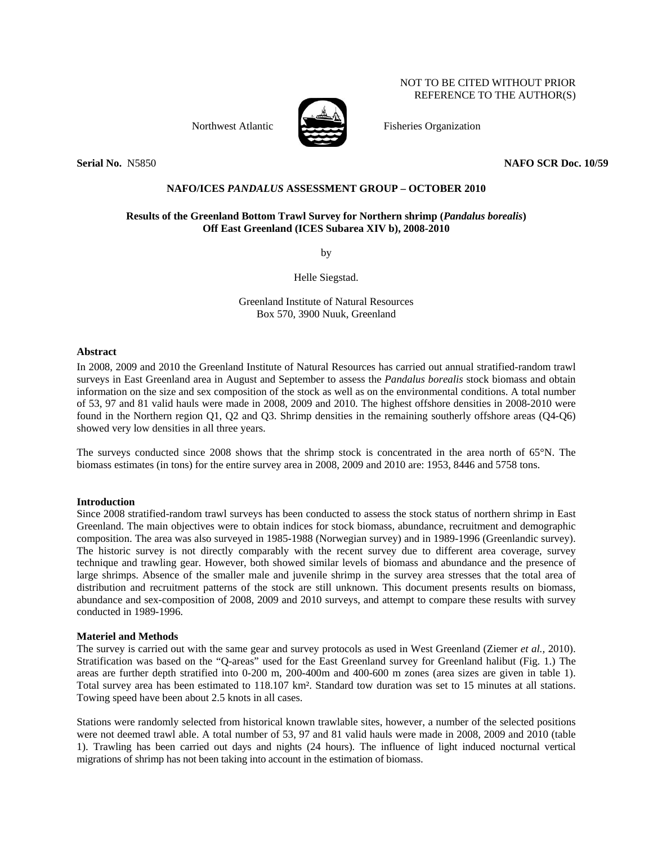# NOT TO BE CITED WITHOUT PRIOR REFERENCE TO THE AUTHOR(S)



Northwest Atlantic Fisheries Organization

**Serial No.** N5850 **NAFO SCR Doc. 10/59** 

# **NAFO/ICES** *PANDALUS* **ASSESSMENT GROUP – OCTOBER 2010**

# **Results of the Greenland Bottom Trawl Survey for Northern shrimp (***Pandalus borealis***) Off East Greenland (ICES Subarea XIV b), 2008-2010**

by

Helle Siegstad.

Greenland Institute of Natural Resources Box 570, 3900 Nuuk, Greenland

#### **Abstract**

In 2008, 2009 and 2010 the Greenland Institute of Natural Resources has carried out annual stratified-random trawl surveys in East Greenland area in August and September to assess the *Pandalus borealis* stock biomass and obtain information on the size and sex composition of the stock as well as on the environmental conditions. A total number of 53, 97 and 81 valid hauls were made in 2008, 2009 and 2010. The highest offshore densities in 2008-2010 were found in the Northern region Q1, Q2 and Q3. Shrimp densities in the remaining southerly offshore areas (Q4-Q6) showed very low densities in all three years.

The surveys conducted since 2008 shows that the shrimp stock is concentrated in the area north of 65°N. The biomass estimates (in tons) for the entire survey area in 2008, 2009 and 2010 are: 1953, 8446 and 5758 tons.

## **Introduction**

Since 2008 stratified-random trawl surveys has been conducted to assess the stock status of northern shrimp in East Greenland. The main objectives were to obtain indices for stock biomass, abundance, recruitment and demographic composition. The area was also surveyed in 1985-1988 (Norwegian survey) and in 1989-1996 (Greenlandic survey). The historic survey is not directly comparably with the recent survey due to different area coverage, survey technique and trawling gear. However, both showed similar levels of biomass and abundance and the presence of large shrimps. Absence of the smaller male and juvenile shrimp in the survey area stresses that the total area of distribution and recruitment patterns of the stock are still unknown. This document presents results on biomass, abundance and sex-composition of 2008, 2009 and 2010 surveys, and attempt to compare these results with survey conducted in 1989-1996.

## **Materiel and Methods**

The survey is carried out with the same gear and survey protocols as used in West Greenland (Ziemer *et al.,* 2010). Stratification was based on the "Q-areas" used for the East Greenland survey for Greenland halibut (Fig. 1.) The areas are further depth stratified into 0-200 m, 200-400m and 400-600 m zones (area sizes are given in table 1). Total survey area has been estimated to 118.107 km². Standard tow duration was set to 15 minutes at all stations. Towing speed have been about 2.5 knots in all cases.

Stations were randomly selected from historical known trawlable sites, however, a number of the selected positions were not deemed trawl able. A total number of 53, 97 and 81 valid hauls were made in 2008, 2009 and 2010 (table 1). Trawling has been carried out days and nights (24 hours). The influence of light induced nocturnal vertical migrations of shrimp has not been taking into account in the estimation of biomass.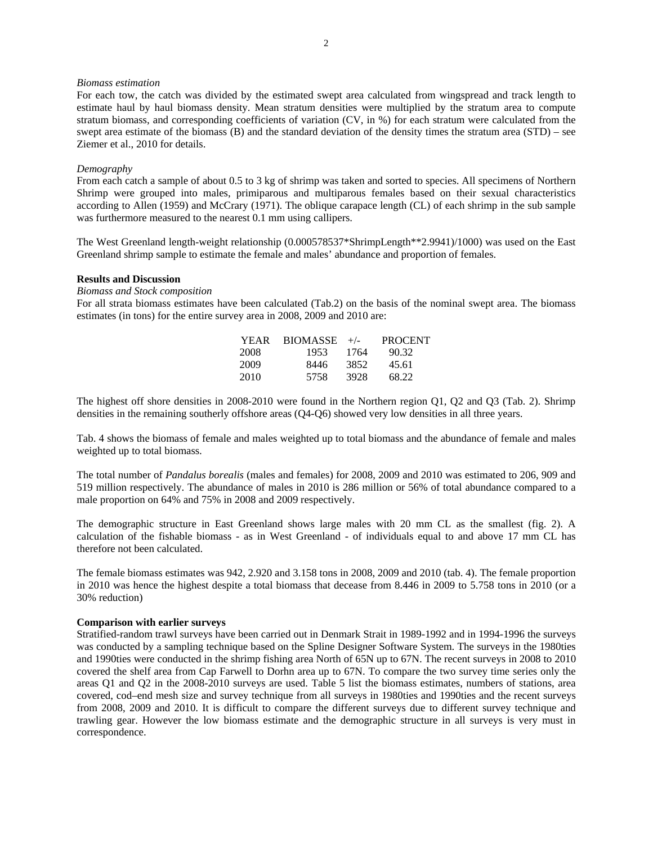#### *Biomass estimation*

For each tow, the catch was divided by the estimated swept area calculated from wingspread and track length to estimate haul by haul biomass density. Mean stratum densities were multiplied by the stratum area to compute stratum biomass, and corresponding coefficients of variation (CV, in %) for each stratum were calculated from the swept area estimate of the biomass (B) and the standard deviation of the density times the stratum area (STD) – see Ziemer et al., 2010 for details.

#### *Demography*

From each catch a sample of about 0.5 to 3 kg of shrimp was taken and sorted to species. All specimens of Northern Shrimp were grouped into males, primiparous and multiparous females based on their sexual characteristics according to Allen (1959) and McCrary (1971). The oblique carapace length (CL) of each shrimp in the sub sample was furthermore measured to the nearest 0.1 mm using callipers.

The West Greenland length-weight relationship (0.000578537\*ShrimpLength\*\*2.9941)/1000) was used on the East Greenland shrimp sample to estimate the female and males' abundance and proportion of females.

#### **Results and Discussion**

*Biomass and Stock composition* 

For all strata biomass estimates have been calculated (Tab.2) on the basis of the nominal swept area. The biomass estimates (in tons) for the entire survey area in 2008, 2009 and 2010 are:

| YEAR | $BIOMASSE +/-$ |      | PROCENT |
|------|----------------|------|---------|
| 2008 | 1953           | 1764 | 90.32   |
| 2009 | 8446           | 3852 | 45.61   |
| 2010 | 5758           | 3928 | 68.22   |

The highest off shore densities in 2008-2010 were found in the Northern region Q1, Q2 and Q3 (Tab. 2). Shrimp densities in the remaining southerly offshore areas (Q4-Q6) showed very low densities in all three years.

Tab. 4 shows the biomass of female and males weighted up to total biomass and the abundance of female and males weighted up to total biomass.

The total number of *Pandalus borealis* (males and females) for 2008, 2009 and 2010 was estimated to 206, 909 and 519 million respectively. The abundance of males in 2010 is 286 million or 56% of total abundance compared to a male proportion on 64% and 75% in 2008 and 2009 respectively.

The demographic structure in East Greenland shows large males with 20 mm CL as the smallest (fig. 2). A calculation of the fishable biomass - as in West Greenland - of individuals equal to and above 17 mm CL has therefore not been calculated.

The female biomass estimates was 942, 2.920 and 3.158 tons in 2008, 2009 and 2010 (tab. 4). The female proportion in 2010 was hence the highest despite a total biomass that decease from 8.446 in 2009 to 5.758 tons in 2010 (or a 30% reduction)

# **Comparison with earlier surveys**

Stratified-random trawl surveys have been carried out in Denmark Strait in 1989-1992 and in 1994-1996 the surveys was conducted by a sampling technique based on the Spline Designer Software System. The surveys in the 1980ties and 1990ties were conducted in the shrimp fishing area North of 65N up to 67N. The recent surveys in 2008 to 2010 covered the shelf area from Cap Farwell to Dorhn area up to 67N. To compare the two survey time series only the areas Q1 and Q2 in the 2008-2010 surveys are used. Table 5 list the biomass estimates, numbers of stations, area covered, cod–end mesh size and survey technique from all surveys in 1980ties and 1990ties and the recent surveys from 2008, 2009 and 2010. It is difficult to compare the different surveys due to different survey technique and trawling gear. However the low biomass estimate and the demographic structure in all surveys is very must in correspondence.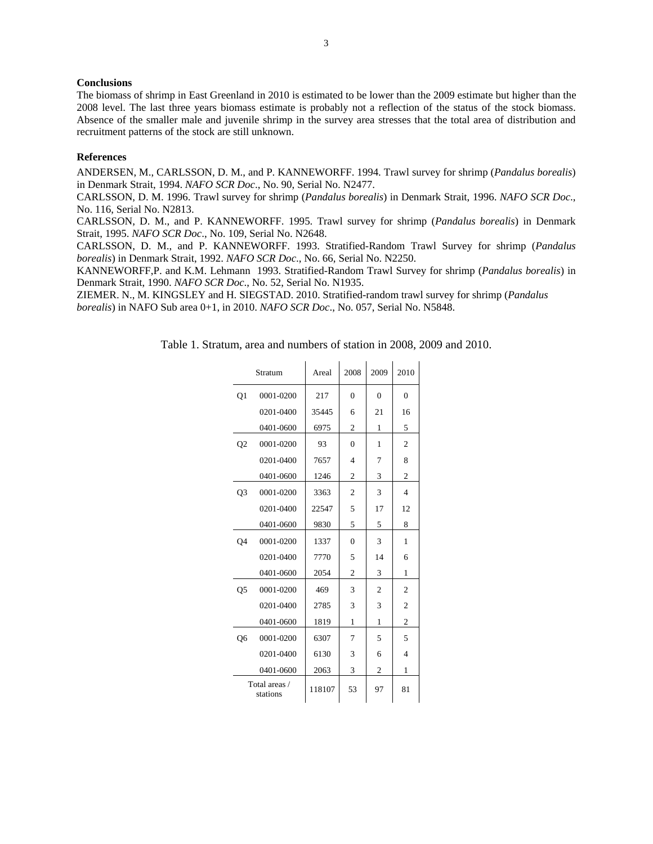# **Conclusions**

The biomass of shrimp in East Greenland in 2010 is estimated to be lower than the 2009 estimate but higher than the 2008 level. The last three years biomass estimate is probably not a reflection of the status of the stock biomass. Absence of the smaller male and juvenile shrimp in the survey area stresses that the total area of distribution and recruitment patterns of the stock are still unknown.

## **References**

ANDERSEN, M., CARLSSON, D. M., and P. KANNEWORFF. 1994. Trawl survey for shrimp (*Pandalus borealis*) in Denmark Strait, 1994. *NAFO SCR Doc*., No. 90, Serial No. N2477.

CARLSSON, D. M. 1996. Trawl survey for shrimp (*Pandalus borealis*) in Denmark Strait, 1996. *NAFO SCR Doc*., No. 116, Serial No. N2813.

CARLSSON, D. M., and P. KANNEWORFF. 1995. Trawl survey for shrimp (*Pandalus borealis*) in Denmark Strait, 1995. *NAFO SCR Doc*., No. 109, Serial No. N2648.

CARLSSON, D. M., and P. KANNEWORFF. 1993. Stratified-Random Trawl Survey for shrimp (*Pandalus borealis*) in Denmark Strait, 1992. *NAFO SCR Doc*., No. 66, Serial No. N2250.

KANNEWORFF,P. and K.M. Lehmann 1993. Stratified-Random Trawl Survey for shrimp (*Pandalus borealis*) in Denmark Strait, 1990. *NAFO SCR Doc*., No. 52, Serial No. N1935.

ZIEMER. N., M. KINGSLEY and H. SIEGSTAD. 2010. Stratified-random trawl survey for shrimp (*Pandalus borealis*) in NAFO Sub area 0+1, in 2010. *NAFO SCR Doc*., No. 057, Serial No. N5848.

Table 1. Stratum, area and numbers of station in 2008, 2009 and 2010.

|                | Stratum                   | Areal  | 2008     | 2009           | 2010           |
|----------------|---------------------------|--------|----------|----------------|----------------|
| Q <sub>1</sub> | 0001-0200                 | 217    | $\theta$ | $\theta$       | $\theta$       |
|                | 0201-0400                 | 35445  | 6        | 21             | 16             |
|                | 0401-0600                 | 6975   | 2        | 1              | 5              |
| Q <sub>2</sub> | 0001-0200                 | 93     | $\theta$ | 1              | 2              |
|                | 0201-0400                 | 7657   | 4        | 7              | 8              |
|                | 0401-0600                 | 1246   | 2        | 3              | $\overline{2}$ |
| Q <sub>3</sub> | 0001-0200                 | 3363   | 2        | 3              | $\overline{4}$ |
|                | 0201-0400                 | 22547  | 5        | 17             | 12             |
|                | 0401-0600                 | 9830   | 5        | 5              | 8              |
| Q <sub>4</sub> | 0001-0200                 | 1337   | $\theta$ | 3              | 1              |
|                | 0201-0400                 | 7770   | 5        | 14             | 6              |
|                | 0401-0600                 | 2054   | 2        | 3              | 1              |
| Q <sub>5</sub> | 0001-0200                 | 469    | 3        | $\overline{2}$ | 2              |
|                | 0201-0400                 | 2785   | 3        | 3              | $\overline{2}$ |
|                | 0401-0600                 | 1819   | 1        | 1              | $\overline{2}$ |
| Q6             | 0001-0200                 | 6307   | 7        | 5              | 5              |
|                | 0201-0400                 | 6130   | 3        | 6              | 4              |
|                | 0401-0600                 | 2063   | 3        | 2              | 1              |
|                | Total areas /<br>stations | 118107 | 53       | 97             | 81             |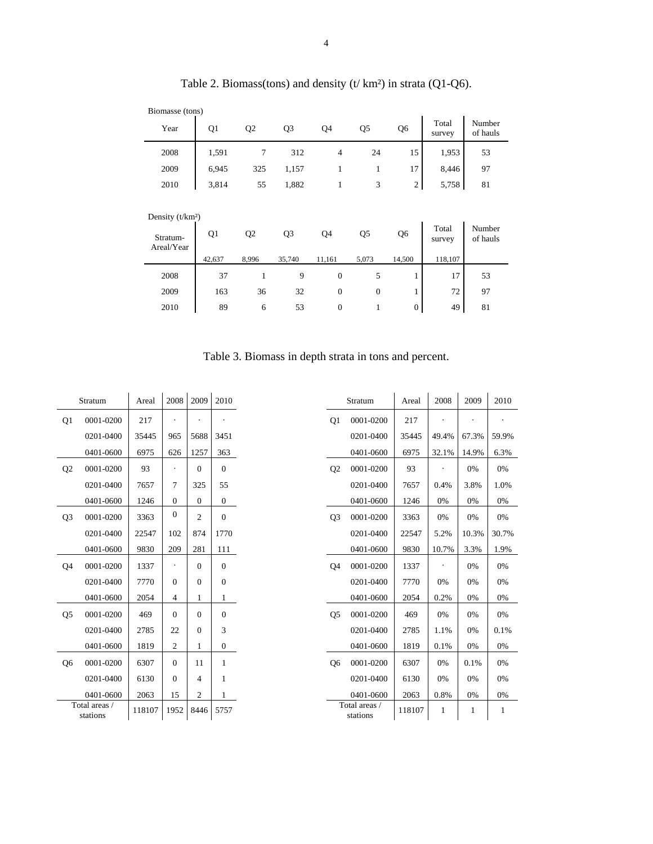| Biomasse (tons) |       |                |       |                |    |                |                 |                    |
|-----------------|-------|----------------|-------|----------------|----|----------------|-----------------|--------------------|
| Year            | Q1    | Q <sub>2</sub> | Q3    | Q4             | Q5 | Q <sub>6</sub> | Total<br>survey | Number<br>of hauls |
| 2008            | 1,591 |                | 312   | $\overline{4}$ | 24 | 15             | 1,953           | 53                 |
| 2009            | 6,945 | 325            | 1,157 |                |    | 17             | 8,446           | 97                 |
| 2010            | 3,814 | 55             | 1,882 |                |    | $\overline{2}$ | 5,758           | 81                 |

Table 2. Biomass(tons) and density (t/ km²) in strata (Q1-Q6).

| Density $(t/km2)$      |        |                |        |              |       |                |                 |                    |
|------------------------|--------|----------------|--------|--------------|-------|----------------|-----------------|--------------------|
| Stratum-<br>Areal/Year | Q1     | Q <sub>2</sub> | Q3     | Q4           | Q5    | Q <sub>6</sub> | Total<br>survey | Number<br>of hauls |
|                        | 42,637 | 8,996          | 35,740 | 11,161       | 5,073 | 14,500         | 118,107         |                    |
| 2008                   | 37     |                | 9      | 0            |       |                | 17              | 53                 |
| 2009                   | 163    | 36             | 32     | $\mathbf{0}$ | 0     |                | 72              | 97                 |
| 2010                   | 89     | 6              | 53     | 0            |       | 0              | 49              | 81                 |

Table 3. Biomass in depth strata in tons and percent.

|                | Stratum                   | Areal  | 2008           | 2009           | 2010           |
|----------------|---------------------------|--------|----------------|----------------|----------------|
| Q1             | 0001-0200                 | 217    |                |                |                |
|                | 0201-0400                 | 35445  | 965            | 5688           | 3451           |
|                | 0401-0600                 | 6975   | 626            | 1257           | 363            |
| Q <sub>2</sub> | 0001-0200                 | 93     |                | $\theta$       | $\theta$       |
|                | 0201-0400                 | 7657   | 7              | 325            | 55             |
|                | 0401-0600                 | 1246   | $\overline{0}$ | $\Omega$       | $\overline{0}$ |
| Q <sub>3</sub> | 0001-0200                 | 3363   | $\theta$       | $\overline{2}$ | $\overline{0}$ |
|                | 0201-0400                 | 22547  | 102            | 874            | 1770           |
|                | 0401-0600                 | 9830   | 209            | 281            | 111            |
| O4             | 0001-0200                 | 1337   |                | $\Omega$       | $\theta$       |
|                | 0201-0400                 | 7770   | $\Omega$       | $\Omega$       | $\theta$       |
|                | 0401-0600                 | 2054   | 4              | 1              | 1              |
| Q <sub>5</sub> | 0001-0200                 | 469    | $\Omega$       | $\theta$       | $\theta$       |
|                | 0201-0400                 | 2785   | 22             | $\theta$       | 3              |
|                | 0401-0600                 | 1819   | 2              | 1              | $\overline{0}$ |
| Q6             | 0001-0200                 | 6307   | $\Omega$       | 11             | 1              |
|                | 0201-0400                 | 6130   | $\theta$       | 4              | 1              |
|                | 0401-0600                 | 2063   | 15             | 2              | 1              |
|                | Total areas /<br>stations | 118107 | 1952           | 8446           | 5757           |

|                | Stratum                   | Areal  | 2008  | 2009  | 2010  |
|----------------|---------------------------|--------|-------|-------|-------|
| O1             | 0001-0200                 | 217    |       |       |       |
|                | 0201-0400                 | 35445  | 49.4% | 67.3% | 59.9% |
|                | 0401-0600                 | 6975   | 32.1% | 14.9% | 6.3%  |
| Q <sub>2</sub> | 0001-0200                 | 93     |       | 0%    | 0%    |
|                | 0201-0400                 | 7657   | 0.4%  | 3.8%  | 1.0%  |
|                | 0401-0600                 | 1246   | 0%    | 0%    | 0%    |
| O <sub>3</sub> | 0001-0200                 | 3363   | 0%    | 0%    | 0%    |
|                | 0201-0400                 | 22547  | 5.2%  | 10.3% | 30.7% |
|                | 0401-0600                 | 9830   | 10.7% | 3.3%  | 1.9%  |
| Q <sub>4</sub> | 0001-0200                 | 1337   |       | 0%    | 0%    |
|                | 0201-0400                 | 7770   | 0%    | 0%    | 0%    |
|                | 0401-0600                 | 2054   | 0.2%  | 0%    | 0%    |
| Q5             | 0001-0200                 | 469    | 0%    | 0%    | 0%    |
|                | 0201-0400                 | 2785   | 1.1%  | 0%    | 0.1%  |
|                | 0401-0600                 | 1819   | 0.1%  | 0%    | 0%    |
| Q6             | 0001-0200                 | 6307   | 0%    | 0.1%  | 0%    |
|                | 0201-0400                 | 6130   | 0%    | 0%    | 0%    |
|                | 0401-0600                 | 2063   | 0.8%  | 0%    | 0%    |
|                | Total areas /<br>stations | 118107 | 1     | 1     | 1     |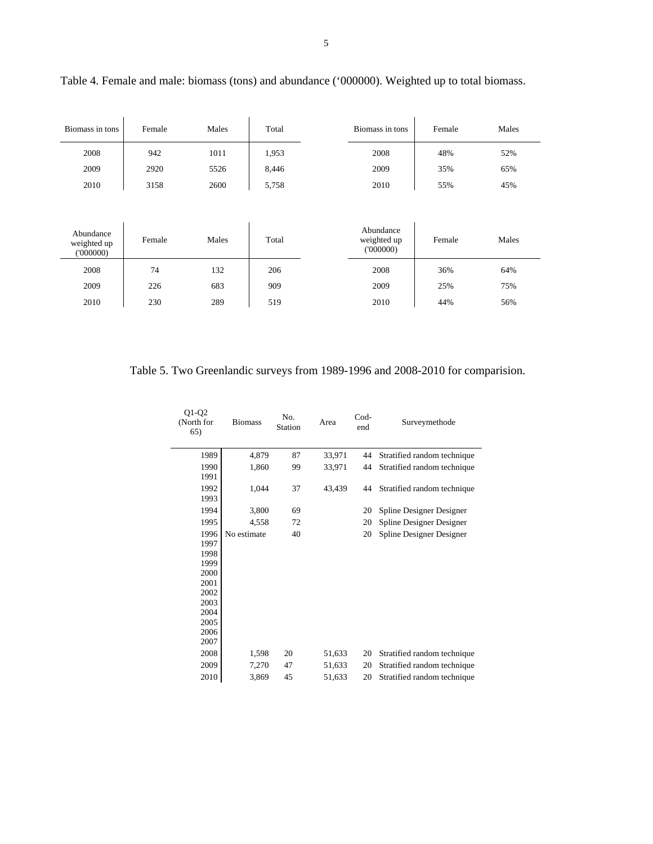| Biomass in tons | Female | Males | Total | Biomass in tons | Female | Males |
|-----------------|--------|-------|-------|-----------------|--------|-------|
| 2008            | 942    | 1011  | 1,953 | 2008            | 48%    | 52%   |
| 2009            | 2920   | 5526  | 8,446 | 2009            | 35%    | 65%   |
| 2010            | 3158   | 2600  | 5,758 | 2010            | 55%    | 45%   |

Table 4. Female and male: biomass (tons) and abundance ('000000). Weighted up to total biomass.

| Abundance<br>weighted up<br>(000000) | Female | Males | Total | Abundance<br>weighted up<br>(000000) | Female | Males |
|--------------------------------------|--------|-------|-------|--------------------------------------|--------|-------|
| 2008                                 | 74     | 132   | 206   | 2008                                 | 36%    | 64%   |
| 2009                                 | 226    | 683   | 909   | 2009                                 | 25%    | 75%   |
| 2010                                 | 230    | 289   | 519   | 2010                                 | 44%    | 56%   |

Table 5. Two Greenlandic surveys from 1989-1996 and 2008-2010 for comparision.

| $Q1-Q2$<br>(North for<br>65) | <b>Biomass</b> | No.<br>Station | Area   | $Cod-$<br>end | Surveymethode               |
|------------------------------|----------------|----------------|--------|---------------|-----------------------------|
| 1989                         | 4.879          | 87             | 33,971 | 44            | Stratified random technique |
| 1990                         | 1,860          | 99             | 33,971 | 44            | Stratified random technique |
| 1991                         |                |                |        |               |                             |
| 1992                         | 1,044          | 37             | 43,439 | 44            | Stratified random technique |
| 1993                         |                |                |        |               |                             |
| 1994                         | 3,800          | 69             |        | 20            | Spline Designer Designer    |
| 1995                         | 4,558          | 72             |        | 20            | Spline Designer Designer    |
| 1996                         | No estimate    | 40             |        | 20            | Spline Designer Designer    |
| 1997                         |                |                |        |               |                             |
| 1998                         |                |                |        |               |                             |
| 1999                         |                |                |        |               |                             |
| 2000                         |                |                |        |               |                             |
| 2001                         |                |                |        |               |                             |
| 2002                         |                |                |        |               |                             |
| 2003                         |                |                |        |               |                             |
| 2004                         |                |                |        |               |                             |
| 2005                         |                |                |        |               |                             |
| 2006                         |                |                |        |               |                             |
| 2007                         |                |                |        |               |                             |
| 2008                         | 1,598          | 20             | 51,633 | 20            | Stratified random technique |
| 2009                         | 7,270          | 47             | 51,633 | 20            | Stratified random technique |
| 2010                         | 3,869          | 45             | 51,633 | 20            | Stratified random technique |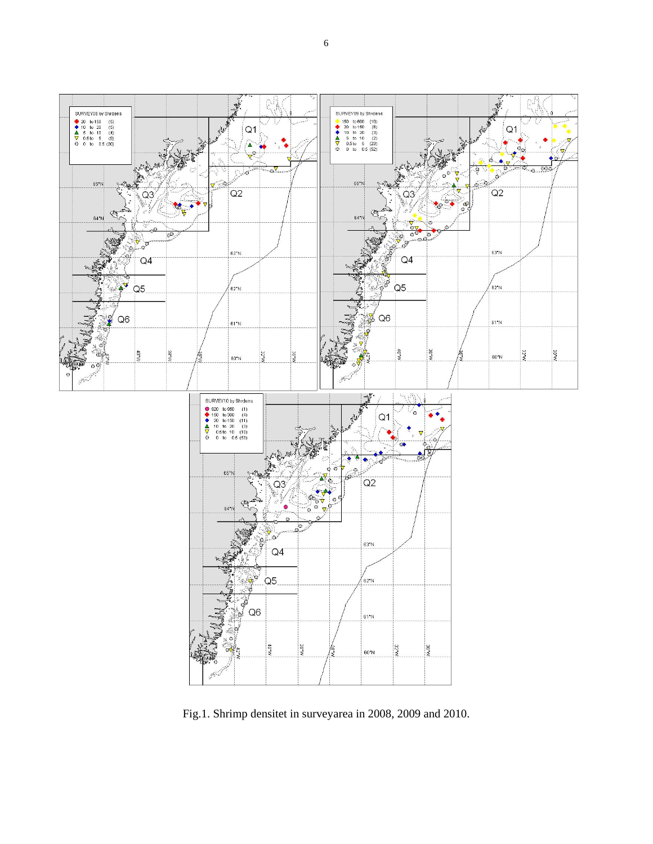

Fig.1. Shrimp densitet in surveyarea in 2008, 2009 and 2010.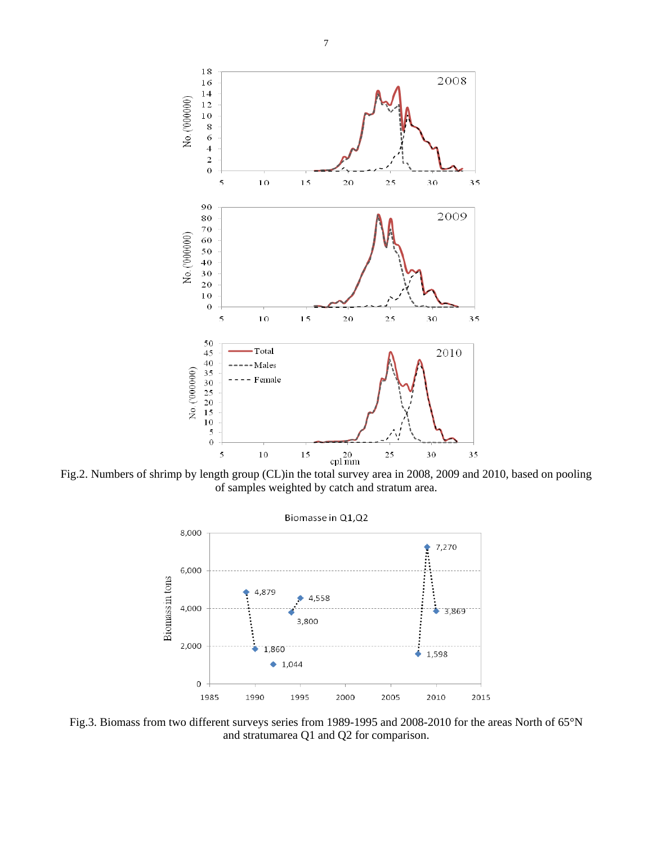

Fig.2. Numbers of shrimp by length group (CL)in the total survey area in 2008, 2009 and 2010, based on pooling of samples weighted by catch and stratum area.



Fig.3. Biomass from two different surveys series from 1989-1995 and 2008-2010 for the areas North of 65°N and stratumarea Q1 and Q2 for comparison.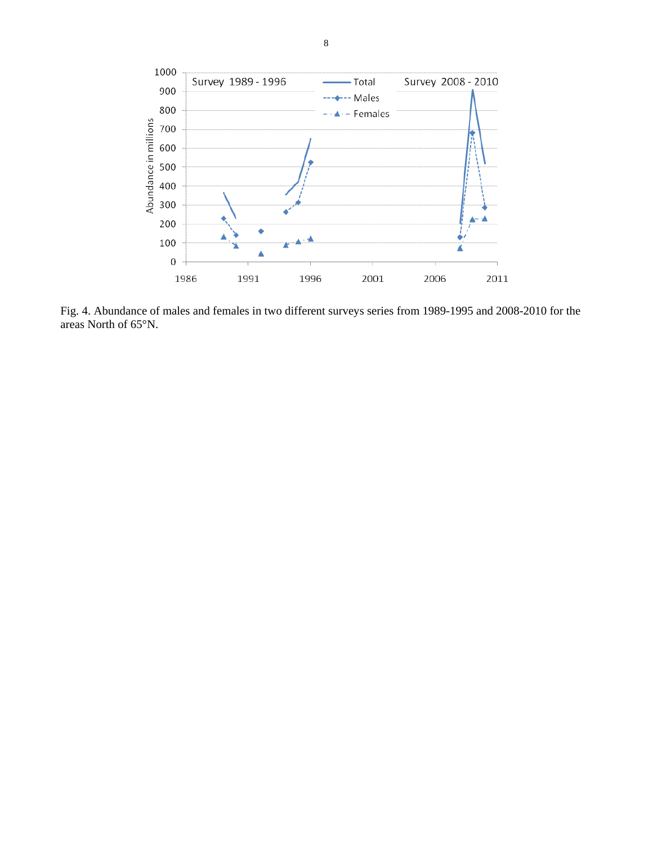

Fig. 4. Abundance of males and females in two different surveys series from 1989-1995 and 2008-2010 for the areas North of 65°N.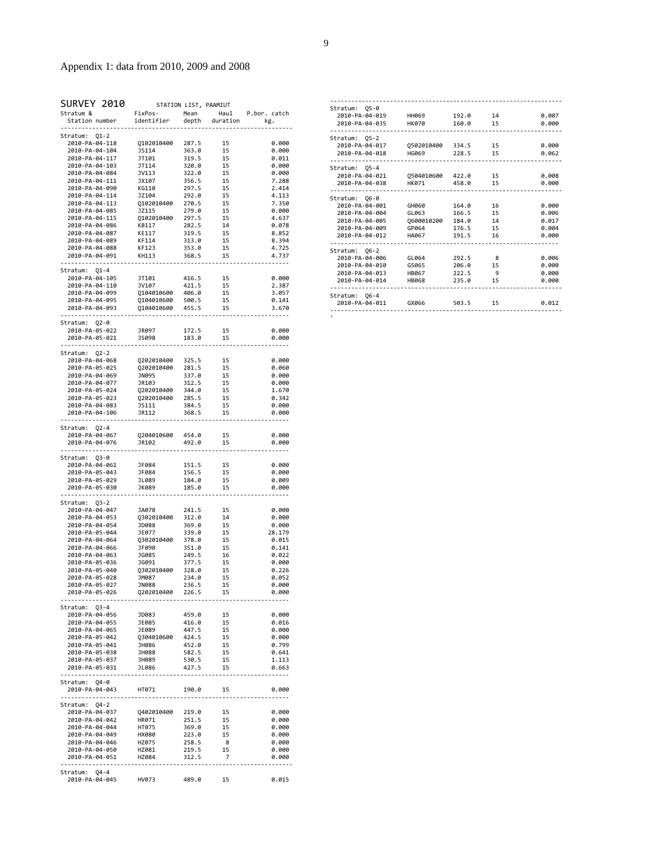# Appendix 1: data from 2010, 2009 and 2008

| SURVEY 2010                      |                          |                | STATION LIST, PAAMIUT |                |
|----------------------------------|--------------------------|----------------|-----------------------|----------------|
| Stratum &                        | FixPos-                  |                | Mean Haul             | P.bor. catch   |
| Station number                   | identifier               | depth          | duration              | kg.            |
| <u>.</u>                         |                          |                |                       |                |
| Stratum: Q1-2<br>2010-PA-04-118  | Q102010400               | 287.5          | 15                    | 0.000          |
| 2010-PA-04-104                   | <b>JS114</b>             | 363.0          | 15                    | 0.000          |
| 2010-PA-04-117                   | JT101                    | 319.5          | 15                    | 0.011          |
| 2010-PA-04-103                   | JT114                    | 320.0          | 15                    | 0.000          |
| 2010-PA-04-084                   | JV113                    | 322.0          | 15                    | 0.000          |
| 2010-PA-04-111                   | JX107                    | 356.5          | 15                    | 7.288          |
| 2010-PA-04-090                   | KG110                    | 297.5          | 15                    | 2.414          |
| 2010-PA-04-114                   | JZ104                    | 292.0          | 15                    | 4.113          |
| 2010-PA-04-113                   | Q102010400               | 270.5          | 15                    | 7.350          |
| 2010-PA-04-085<br>2010-PA-04-115 | JZ115<br>Q102010400      | 279.0<br>297.5 | 15<br>15              | 0.000<br>4.637 |
| 2010-PA-04-086                   | KB117                    | 282.5          | 14                    | 0.078          |
| 2010-PA-04-087                   | KE117                    | 319.5          | 15                    | 8.852          |
| 2010-PA-04-089                   | KF114                    | 313.0          | 15                    | 8.394          |
| 2010-PA-04-088                   | KF123                    | 353.0          | 15                    | 4.725          |
| 2010-PA-04-091                   | KH113                    | 368.5          | 15                    | 4.737          |
| .                                |                          |                |                       |                |
| Stratum: 01-4                    |                          |                |                       |                |
| 2010-PA-04-105                   | JT101                    | 416.5          | 15                    | 0.000          |
| 2010-PA-04-110                   | JV107                    | 421.5          | 15                    | 2.387          |
| 2010-PA-04-099<br>2010-PA-04-095 | Q104010600               | 406.0<br>500.5 | 15                    | 3.057          |
| 2010-PA-04-093                   | Q104010600<br>Q104010600 | 455.5          | 15<br>15              | 0.141<br>3.670 |
| . <u>.</u> .                     |                          |                |                       |                |
| Stratum: Q2-0                    |                          |                |                       |                |
| 2010-PA-05-022                   | JR097                    | 172.5          | 15                    | 0.000          |
| 2010-PA-05-021                   | <b>JS098</b>             | 183.0          | 15                    | 0.000          |
| --------------                   |                          |                |                       |                |
| Stratum: Q2-2                    |                          |                |                       |                |
| 2010-PA-04-068                   | Q202010400               | 325.5          | 15                    | 0.000          |
| 2010-PA-05-025                   | Q202010400               | 281.5          | 15                    | 0.060          |
| 2010-PA-04-069                   | JN095                    | 337.0          | 15                    | 0.000          |
| 2010-PA-04-077                   | JR103                    | 312.5          | 15                    | 0.000          |
| 2010-PA-05-024<br>2010-PA-05-023 | Q202010400<br>0202010400 | 344.0<br>285.5 | 15<br>15              | 1.670<br>0.342 |
| 2010-PA-04-083                   | <b>JS111</b>             | 384.5          | 15                    | 0.000          |
| 2010-PA-04-106                   | JR112                    | 368.5          | 15                    | 0.000          |
| .                                |                          |                |                       |                |
| Stratum:<br>$Q2 - 4$             |                          |                |                       |                |
| 2010-PA-04-067                   | Q204010600               | 454.0          | 15                    | 0.000          |
| 2010-PA-04-076                   | JR102                    | 492.0          | 15                    | 0.000          |
| ------------------               |                          |                |                       | .              |
| Stratum: Q3-0                    |                          |                |                       |                |
| 2010-PA-04-061                   | JF084                    | 151.5          | 15                    | 0.000          |
| 2010-PA-05-043                   | JF084                    | 156.5<br>184.0 | 15                    | 0.000          |
| 2010-PA-05-029<br>2010-PA-05-030 | JL089<br>JK089           | 185.0          | 15<br>15              | 0.009<br>0.000 |
| .                                |                          |                |                       |                |
| Stratum: Q3-2                    |                          |                |                       |                |
| 2010-PA-04-047                   | JA078                    | 241.5          | 15                    | 0.000          |
| 2010-PA-04-053                   | Q302010400               | 312.0          | 14                    | 0.000          |
| 2010-PA-04-054                   | JD088                    | 369.0          | 15                    | 0.000          |
| 2010-PA-05-044                   | JE077                    | 339.0          | 15                    | 28.179         |
| 2010-PA-04-064                   | 0302010400               | 378.0          | 15                    | 0.015          |
| 2010-PA-04-066                   | JF090                    | 351.0          | 15                    | 0.141          |
| 2010-PA-04-063                   | JG085                    | 249.5          | 16                    | 0.022          |
| 2010-PA-05-036<br>2010-PA-05-040 | JG091                    | 377.5          | 15                    | 0.000          |
| 2010-PA-05-028                   | Q302010400<br>JM087      | 328.0<br>234.0 | 15<br>15              | 0.226<br>0.052 |
| 2010-PA-05-027                   | <b>JN088</b>             | 236.5          | 15                    | 0.000          |
|                                  |                          |                |                       | 0.000          |
|                                  |                          |                |                       |                |
| Stratum: 03-4                    |                          |                |                       |                |
| 2010-PA-04-056                   | JD083                    | 459.0          | 15                    | 0.000          |
| 2010-PA-04-055                   | JE085                    | 416.0          | 15                    | 0.016          |
| 2010-PA-04-065                   | JE089                    | 447.5          | 15                    | 0.000          |
| 2010-PA-05-042                   | Q304010600 424.5         |                | 15                    | 0.000          |
| 2010-PA-05-041                   | JH086                    | 452.0          | 15                    | 0.799          |
| 2010-PA-05-038<br>2010-PA-05-037 | JH088<br>JH089           | 582.5<br>530.5 | 15<br>15              | 0.641          |
| 2010-PA-05-031                   | JL086                    | 427.5          | 15                    | 1.113<br>0.663 |
|                                  |                          |                |                       |                |
| Stratum: Q4-0                    |                          |                |                       |                |
| 2010-PA-04-043 HT071             |                          | 190.0          | 15                    | 0.000          |
|                                  |                          |                |                       |                |
| Stratum: 04-2                    |                          |                |                       |                |
| 2010-PA-04-037                   | Q402010400 219.0         |                | 15                    | 0.000          |
| 2010-PA-04-042                   | HR071                    | 251.5          | 15                    | 0.000          |
| 2010-PA-04-044                   | HT075                    | 369.0          | 15                    | 0.000          |
| 2010-PA-04-049                   | <b>HX080</b>             | 223.0          | 15                    | 0.000          |
| 2010-PA-04-046                   | HZ075                    | 258.5          | 8<br>15               | 0.000          |
| 2010-PA-04-050<br>2010-PA-04-051 | HZ081<br>HZ084           | 219.5<br>312.5 | $\overline{7}$        | 0.000<br>0.000 |
|                                  |                          |                |                       |                |
| Stratum: Q4-4                    |                          |                |                       |                |
| 2010-PA-04-045 HV073 489.0 15    |                          |                |                       | 0.015          |

| Stratum: 05-0  |                  |         |    |       |
|----------------|------------------|---------|----|-------|
| 2010-PA-04-019 | <b>HH069</b>     | 192.0   | 14 | 0.007 |
| 2010-PA-04-035 | <b>HK070</b>     | 160.0   | 15 | 0.000 |
| Stratum: 05-2  |                  |         |    |       |
| 2010-PA-04-017 | 0502010400 334.5 |         | 15 | 0.000 |
| 2010-PA-04-018 | HG069            | 228.5   | 15 | 0.062 |
| Stratum: 05-4  |                  |         |    |       |
| 2010-PA-04-021 | 0504010600 422.0 |         | 15 | 0.008 |
| 2010-PA-04-038 | HK071            | 458.0   | 15 | 0.000 |
| Stratum: 06-0  |                  |         |    |       |
| 2010-PA-04-001 | GH060            | 164.0   | 16 | 0.000 |
| 2010-PA-04-004 | GL063            | 166.5   | 15 | 0.006 |
| 2010-PA-04-005 | 0600010200       | 184.0   | 14 | 0.017 |
| 2010-PA-04-009 | GP964            | 176.5   | 15 | 0.004 |
| 2010-PA-04-012 | HA067            | 191.5   | 16 | 0.000 |
| Stratum: 06-2  |                  |         |    |       |
| 2010-PA-04-006 | GL064            | 292.5 8 |    | 0.006 |
| 2010-PA-04-010 | GS065            | 206.0   | 15 | 0.000 |
| 2010-PA-04-013 | HB067            | 222.5   | 9  | 0.000 |
| 2010-PA-04-014 | <b>HB068</b>     | 235.0   | 15 | 0.000 |
| Stratum: 06-4  |                  |         |    |       |
| 2010-PA-04-011 | GX066            | 503.5   | 15 | 0.012 |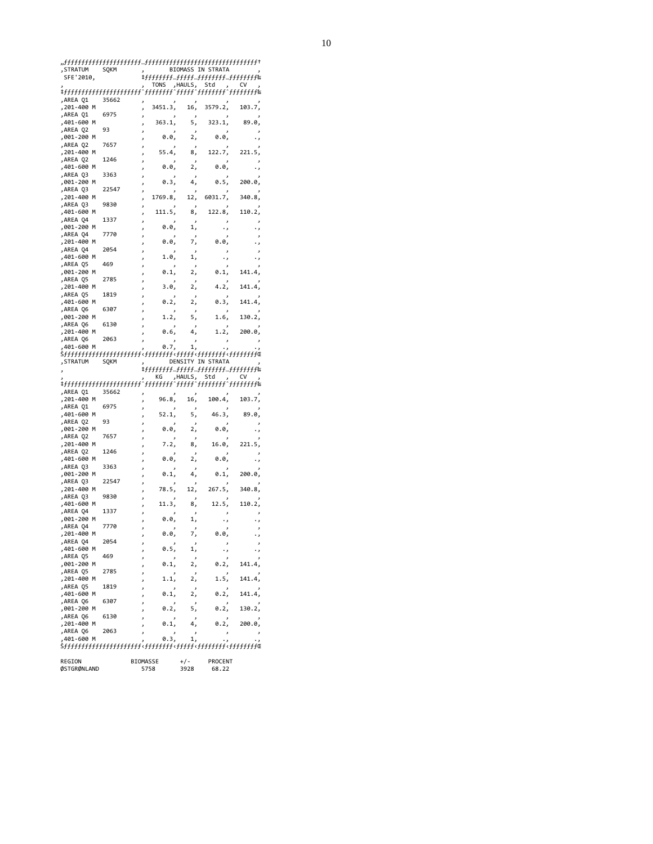| , STRATUM              | SQKM  |   |         |         | BIOMASS IN STRATA |        |
|------------------------|-------|---|---------|---------|-------------------|--------|
| SFE'2010,              |       |   |         |         |                   |        |
|                        |       |   |         |         |                   |        |
|                        |       |   |         |         |                   |        |
| ,AREA Q1               | 35662 |   |         |         |                   |        |
| ,201-400 M             |       | J | 3451.3, | 16,     | 3579.2,           | 103.7, |
| ,AREA Q1               | 6975  |   |         |         |                   |        |
| ,401-600 M             |       |   | 363.1,  | 5,      | 323.1,            | 89.0,  |
| ,AREA Q2               | 93    |   |         |         |                   |        |
|                        |       |   |         |         |                   |        |
| ,001-200 M             |       |   | 0.0,    | 2,      | 0.0,              |        |
| ,AREA Q2               | 7657  |   |         |         |                   |        |
| ,201-400 M             |       |   | 55.4,   | 8,      | 122.7,            | 221.5, |
| ,AREA Q2               | 1246  |   |         |         |                   |        |
| ,401-600 M             |       |   | 0.0,    | 2,      | 0.0,              |        |
| ,AREA Q3               | 3363  |   |         |         |                   |        |
| ,001-200 M             |       |   | 0.3,    | 4,      | 0.5,              | 200.0, |
| ,AREA Q3               | 22547 |   |         |         |                   |        |
|                        |       |   | 1769.8, | 12,     | 6031.7,           | 340.8, |
| ,201-400 M             |       |   |         |         |                   |        |
| ,AREA Q3               | 9830  |   |         |         |                   |        |
| ,401-600 M             |       |   | 111.5,  | 8,      | 122.8,            | 110.2, |
| ,AREA Q4               | 1337  |   |         |         |                   |        |
| ,001-200 M             |       |   | 0.0,    | 1,      | . .               |        |
| ,AREA Q4               | 7770  |   |         |         |                   |        |
| ,201-400 M             |       |   | 0.0,    | 7,      | 0.0,              |        |
| ,AREA Q4               | 2054  |   |         |         |                   |        |
|                        |       |   | 1.0,    |         |                   |        |
| ,401-600 M             |       |   |         | 1,      | ٠,                |        |
| ,AREA Q5               | 469   |   |         |         |                   |        |
| ,001-200 M             |       |   | 0.1,    | 2,      | 0.1,              | 141.4, |
| ,AREA Q5               | 2785  |   |         |         |                   |        |
| , 201-400<br>M         |       |   | 3.0,    | 2,      | 4.2,              | 141.4, |
| ,AREA Q5               | 1819  |   |         |         |                   |        |
| ,401-600<br>M          |       |   | 0.2,    | 2,      | 0.3,              | 141.4, |
| ,AREA Q6               | 6307  |   |         |         |                   |        |
|                        |       |   |         |         |                   |        |
| ,001-200 M             |       |   | 1.2,    | 5,      | 1.6,              | 130.2, |
| ,AREA Q6               | 6130  |   |         |         |                   |        |
| , 201-400<br>M         |       |   | 0.6,    | 4.      | 1.2,              | 200.0, |
|                        |       |   |         |         |                   |        |
|                        | 2063  |   |         |         |                   |        |
| ,AREA Q6<br>401-600 M  |       |   | 0.7,    |         |                   |        |
|                        |       |   |         | 1,      |                   |        |
|                        |       |   |         |         |                   |        |
| , STRATUM              | SQKM  |   |         |         | DENSITY IN STRATA |        |
|                        |       |   |         |         |                   |        |
|                        |       |   | KG      | ,HAULS, | Std               |        |
|                        |       |   |         |         |                   |        |
| ,AREA Q1               | 35662 |   |         |         |                   |        |
| , 201-400<br>м         |       |   | 96.8,   | 16,     | 100.4,            | 103.7, |
|                        |       |   |         |         |                   |        |
| ,AREA Q1               | 6975  |   |         |         |                   |        |
| ,401-600<br>M          |       |   | 52.1,   | 5,      | 46.3,             | 89.0,  |
| ,AREA Q2               | 93    |   |         |         |                   |        |
| ,001-200<br>м          |       |   | 0.0,    | 2,      | 0.0,              |        |
| ,AREA Q2               | 7657  |   |         |         |                   |        |
| , 201-400<br>м         |       |   | 7.2,    | 8,      | 16.0,             | 221.5, |
| ,AREA Q2               | 1246  |   |         |         |                   |        |
| м                      |       |   |         |         | 0.0,              |        |
| ,401-600               |       |   | 0.0,    | 2,      |                   |        |
| ,AREA Q3               | 3363  |   |         |         |                   |        |
| ,001-200<br>M          |       |   | 0.1,    | 4,      | 0.1,              | 200.0, |
| ,AREA Q3               | 22547 |   |         |         |                   |        |
| , 201-400<br>M         |       |   | 78.5,   | 12,     | 267.5,            | 340.8, |
| ,AREA Q3               | 9830  |   |         |         |                   |        |
| ,401-600<br>м          |       |   | 11.3,   | 8,      | 12.5,             | 110.2, |
| ,AREA Q4               | 1337  |   |         |         |                   |        |
| ,001-200 M             |       |   | 0.0,    | 1,      |                   |        |
|                        |       |   |         |         |                   |        |
| ,AREA Q4               | 7770  |   |         |         |                   |        |
| , 201-400<br>M         |       |   | 0.0,    | 7,      | 0.0,              |        |
| ,AREA Q4               | 2054  |   |         |         |                   |        |
| ,401-600<br>M          |       |   | 0.5,    | 1,      | .,                |        |
| ,AREA Q5               | 469   |   |         |         |                   |        |
| ,001-200<br>м          |       |   | 0.1,    | 2,      | 0.2,              | 141.4, |
| ,AREA Q5               | 2785  |   |         |         |                   |        |
| м                      |       |   | 1.1,    | 2,      | 1.5,              | 141.4, |
| , 201-400              |       |   |         |         |                   |        |
| ,AREA Q5<br>м          | 1819  |   |         |         |                   |        |
| ,401-600               |       |   | 0.1,    | 2,      | 0.2,              | 141.4, |
| ,AREA Q6<br>,001-200 M | 6307  |   | 0.2,    | 5,      | 0.2,              | 130.2, |

'001‐200 M ' 0.2' 5' 0.2' 130.2' 'AREA Q6 6130 ' ' ' ' ' '201‐400 M ' 0.1' 4' 0.2' 200.0' 'AREA Q6 2063 ' ' ' ' ' '401‐600 M ' 0.3' 1' .' .' Šƒƒƒƒƒƒƒƒƒƒƒƒƒƒƒƒƒƒƒƒƒƒ‹ƒƒƒƒƒƒƒƒ‹ƒƒƒƒƒ‹ƒƒƒƒƒƒƒƒ‹ƒƒƒƒƒƒƒƒŒ REGION BIOMASSE +/‐ PROCENT REGION<br>ØSTGRØNLAND

10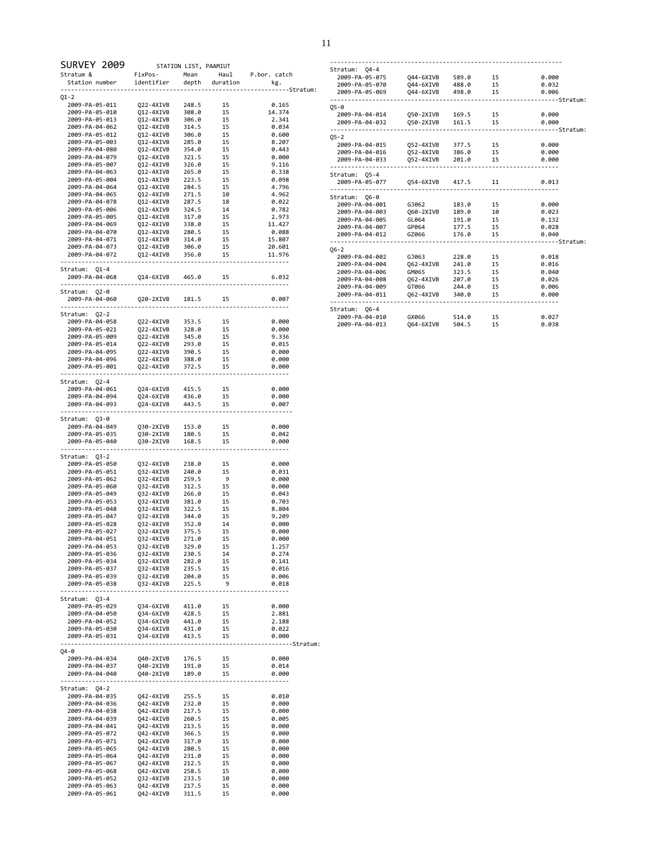| SURVEY 2009 STATION LIST, PAAMIUT<br>Stratum & FixPos- Mean Haul P.bor. catch<br>Station number identifier depth duration kg. |                                                                                                                                                                                                                                                      |                |          |                   |
|-------------------------------------------------------------------------------------------------------------------------------|------------------------------------------------------------------------------------------------------------------------------------------------------------------------------------------------------------------------------------------------------|----------------|----------|-------------------|
|                                                                                                                               |                                                                                                                                                                                                                                                      |                |          |                   |
|                                                                                                                               |                                                                                                                                                                                                                                                      |                |          |                   |
| Q1-2                                                                                                                          |                                                                                                                                                                                                                                                      |                |          |                   |
| 2009-PA-05-011                                                                                                                | 222-4XIVB 248.5 15<br>212-4XIVB 366.0 15<br>212-4XIVB 366.0 15<br>212-4XIVB 316.0 15<br>212-4XIVB 316.0 15<br>212-4XIVB 366.0 15<br>212-4XIVB 366.0 15<br>212-4XIVB 285.0 15<br>212-4XIVB 324.0 15<br>212-4XIVB 226.0 15<br>212-4XIVB 226.0 15<br>21 |                |          | 0.165             |
| 2009-PA-05-010                                                                                                                |                                                                                                                                                                                                                                                      |                |          | 14.374            |
| 2009-PA-05-013                                                                                                                |                                                                                                                                                                                                                                                      |                |          | 2.341             |
| 2009-PA-04-062                                                                                                                |                                                                                                                                                                                                                                                      |                |          | 0.034             |
| 2009-PA-05-012                                                                                                                |                                                                                                                                                                                                                                                      |                |          | 0.600             |
| 2009-PA-05-003<br>2009-PA-04-080                                                                                              |                                                                                                                                                                                                                                                      |                |          | 8.207<br>0.443    |
| 2009-PA-04-079                                                                                                                |                                                                                                                                                                                                                                                      |                |          | 0.000             |
| 2009-PA-05-007                                                                                                                |                                                                                                                                                                                                                                                      |                |          | 9.116             |
| 2009-PA-04-063                                                                                                                |                                                                                                                                                                                                                                                      |                |          | 0.338             |
| 2009-PA-05-004                                                                                                                |                                                                                                                                                                                                                                                      |                |          | 0.098             |
| 2009-PA-04-064                                                                                                                |                                                                                                                                                                                                                                                      |                |          | 4.796             |
| 2009-PA-04-065                                                                                                                |                                                                                                                                                                                                                                                      |                |          | 4.962             |
| 2009-PA-04-078<br>2009-PA-05-006                                                                                              |                                                                                                                                                                                                                                                      |                |          | 0.022<br>0.782    |
| 2009-PA-05-005                                                                                                                |                                                                                                                                                                                                                                                      |                |          | 2.973             |
| 2009-PA-04-069                                                                                                                |                                                                                                                                                                                                                                                      |                |          | 11.427            |
| 2009-PA-04-070                                                                                                                |                                                                                                                                                                                                                                                      |                |          | 0.088             |
| 2009-PA-04-071                                                                                                                |                                                                                                                                                                                                                                                      |                |          | 15.807            |
| 2009-PA-04-073                                                                                                                |                                                                                                                                                                                                                                                      |                |          | 20.601            |
| 2009-PA-04-072                                                                                                                |                                                                                                                                                                                                                                                      |                |          | 11.976            |
| Stratum: Q1-4                                                                                                                 |                                                                                                                                                                                                                                                      |                |          |                   |
| 2009-PA-04-068  Q14-6XIVB  465.0  15                                                                                          |                                                                                                                                                                                                                                                      |                |          | 6.032             |
| Stratum: Q2-0                                                                                                                 |                                                                                                                                                                                                                                                      |                |          |                   |
|                                                                                                                               |                                                                                                                                                                                                                                                      |                | 15       | 0.007             |
|                                                                                                                               |                                                                                                                                                                                                                                                      |                |          |                   |
| Stratum: Q2-2                                                                                                                 |                                                                                                                                                                                                                                                      |                |          |                   |
|                                                                                                                               |                                                                                                                                                                                                                                                      |                |          | 0.000             |
|                                                                                                                               |                                                                                                                                                                                                                                                      |                |          | 0.000<br>9.336    |
|                                                                                                                               |                                                                                                                                                                                                                                                      |                |          | 0.015             |
|                                                                                                                               |                                                                                                                                                                                                                                                      |                |          | 0.000             |
|                                                                                                                               |                                                                                                                                                                                                                                                      |                |          | 0.000             |
| 2009-PA-05-001                                                                                                                | Q22-4XIVB 372.5                                                                                                                                                                                                                                      |                | 15       | 0.000             |
|                                                                                                                               |                                                                                                                                                                                                                                                      |                |          |                   |
| Stratum: Q2-4                                                                                                                 |                                                                                                                                                                                                                                                      |                |          |                   |
| 2009-PA-04-061                                                                                                                |                                                                                                                                                                                                                                                      |                |          | 0.000             |
| 2009-PA-04-094<br>2009-PA-04-093                                                                                              | Q24-6XIVB 415.5 15<br>Q24-6XIVB 436.0 15<br>Q24-6XIVB 443.5 15                                                                                                                                                                                       |                |          | 0.000<br>0.007    |
|                                                                                                                               |                                                                                                                                                                                                                                                      |                |          |                   |
| Stratum: Q3-0                                                                                                                 |                                                                                                                                                                                                                                                      |                |          |                   |
| 2009-PA-04-049                                                                                                                |                                                                                                                                                                                                                                                      |                |          | 0.000             |
| 2009-PA-05-035                                                                                                                | Q30-2XIVB 153.0 15<br>Q30-2XIVB 180.5 15<br>Q30-2XIVB 168.5 15                                                                                                                                                                                       |                |          | 0.042             |
| 2009-PA-05-040                                                                                                                |                                                                                                                                                                                                                                                      |                |          | 0.000             |
| Stratum: Q3-2                                                                                                                 |                                                                                                                                                                                                                                                      |                |          |                   |
|                                                                                                                               |                                                                                                                                                                                                                                                      |                |          | 0.000             |
|                                                                                                                               |                                                                                                                                                                                                                                                      |                |          | 0.031             |
|                                                                                                                               |                                                                                                                                                                                                                                                      |                |          | 0.000             |
|                                                                                                                               |                                                                                                                                                                                                                                                      |                |          | 0.000             |
|                                                                                                                               |                                                                                                                                                                                                                                                      |                |          | 0.043             |
|                                                                                                                               |                                                                                                                                                                                                                                                      |                |          | 0.703             |
|                                                                                                                               |                                                                                                                                                                                                                                                      |                |          | 8.804<br>9.209    |
|                                                                                                                               |                                                                                                                                                                                                                                                      |                |          | 0.000             |
|                                                                                                                               |                                                                                                                                                                                                                                                      |                |          | 0.000             |
| 2009-PA-04-051                                                                                                                | Q32-4XIVB                                                                                                                                                                                                                                            | 271.0          | 15       | 0.000             |
| 2009-PA-04-053                                                                                                                | Q32-4XIVB                                                                                                                                                                                                                                            | 329.0          | 15       | 1.257             |
| 2009-PA-05-036                                                                                                                | Q32-4XIVB                                                                                                                                                                                                                                            | 230.5          | 14       | 0.274             |
| 2009-PA-05-034                                                                                                                | Q32-4XIVB                                                                                                                                                                                                                                            | 282.0          | 15       | 0.141             |
| 2009-PA-05-037<br>2009-PA-05-039                                                                                              | Q32-4XIVB                                                                                                                                                                                                                                            | 235.5<br>204.0 | 15<br>15 | 0.016             |
| 2009-PA-05-038                                                                                                                | Q32-4XIVB<br>032-4XIVB                                                                                                                                                                                                                               | 225.5          | 9        | 0.006<br>0.018    |
|                                                                                                                               |                                                                                                                                                                                                                                                      |                |          |                   |
| Stratum: Q3-4                                                                                                                 |                                                                                                                                                                                                                                                      |                |          |                   |
| 2009-PA-05-029                                                                                                                | Q34-6XIVB 411.0<br>Q34-6XIVB 428.5                                                                                                                                                                                                                   |                | 15       | 0.000             |
| 2009-PA-04-050                                                                                                                |                                                                                                                                                                                                                                                      |                | 15       | 2.881             |
| 2009-PA-04-052                                                                                                                | Q34-6XIVB                                                                                                                                                                                                                                            | 441.0          | 15       | 2.188             |
| 2009-PA-05-030                                                                                                                | 034-6XIVB<br>034-6XIVB                                                                                                                                                                                                                               | 431.0          | 15       | 0.022             |
| 2009-PA-05-031                                                                                                                |                                                                                                                                                                                                                                                      | 413.5          | 15       | 0.000<br>Stratum: |
| Q4-0                                                                                                                          |                                                                                                                                                                                                                                                      |                |          |                   |
| 2009-PA-04-034                                                                                                                | Q40-2XIVB 176.5                                                                                                                                                                                                                                      |                | 15       | 0.000             |
| 2009-PA-04-037                                                                                                                | Q40-2XIVB                                                                                                                                                                                                                                            | 191.0          | 15       | 0.014             |
| 2009-PA-04-040                                                                                                                | Q40-2XIVB                                                                                                                                                                                                                                            | 189.0          | 15       | 0.000             |
| Stratum: Q4-2                                                                                                                 |                                                                                                                                                                                                                                                      |                |          |                   |
| 2009-PA-04-035                                                                                                                | Q42-4XIVB 255.5                                                                                                                                                                                                                                      |                | 15       | 0.010             |
| 2009-PA-04-036                                                                                                                | Q42-4XIVB                                                                                                                                                                                                                                            | 232.0          | 15       | 0.000             |
| 2009-PA-04-038                                                                                                                | Q42-4XIVB                                                                                                                                                                                                                                            | 217.5          | 15       | 0.000             |
| 2009-PA-04-039                                                                                                                | Q42-4XIVB                                                                                                                                                                                                                                            | 260.5          | 15       | 0.005             |
| 2009-PA-04-041                                                                                                                | Q42-4XIVB                                                                                                                                                                                                                                            | 213.5          | 15       | 0.000             |
| 2009-PA-05-072                                                                                                                | Q42-4XIVB                                                                                                                                                                                                                                            | 366.5          | 15       | 0.000             |
| 2009-PA-05-071                                                                                                                | Q42-4XIVB                                                                                                                                                                                                                                            | 317.0          | 15       | 0.000             |
| 2009-PA-05-065                                                                                                                | Q42-4XIVB                                                                                                                                                                                                                                            | 280.5          | 15       | 0.000             |
| 2009-PA-05-064<br>2009-PA-05-067                                                                                              | Q42-4XIVB<br>Q42-4XIVB                                                                                                                                                                                                                               | 231.0<br>212.5 | 15<br>15 | 0.000<br>0.000    |
| 2009-PA-05-068                                                                                                                | Q42-4XIVB                                                                                                                                                                                                                                            | 258.5          | 15       | 0.000             |
| 2009-PA-05-052                                                                                                                | Q32-4XIVB                                                                                                                                                                                                                                            | 233.5          | 10       | 0.000             |
| 2009-PA-05-063                                                                                                                | Q42-4XIVB                                                                                                                                                                                                                                            | 217.5          | 15       | 0.000             |
| 2009-PA-05-061                                                                                                                | Q42-4XIVB                                                                                                                                                                                                                                            | 311.5          | 15       | 0.000             |

| Stratum: 04-4                              |                    |                      |    |                   |
|--------------------------------------------|--------------------|----------------------|----|-------------------|
|                                            |                    |                      |    | 0.000             |
| 2009-PA-05-070    Q44-6XIVB    488.0    15 |                    |                      |    | 0.032             |
| 2009-PA-05-069                             | Q44-6XIVB 498.0 15 |                      |    | 0.006             |
|                                            |                    |                      |    | ---------Stratum: |
| 05-0                                       |                    |                      |    |                   |
|                                            |                    |                      |    | 0.000             |
| 2009-PA-04-032                             | 050-2XIVB          | 161.5 15             |    | 0.000             |
| $05 - 2$                                   |                    |                      |    | --------Stratum:  |
|                                            |                    |                      |    | 0.000             |
|                                            |                    |                      |    | 0.000             |
| 2009-PA-04-033                             | 052-4XIVB          | 201.0 15             |    | 0.000             |
| . <b>.</b> .                               |                    |                      |    |                   |
| Stratum: 05-4                              |                    |                      |    |                   |
| 2009-PA-05-077                             | 054-6XIVB 417.5 11 |                      |    | 0.013             |
| Stratum: 06-0                              |                    |                      |    |                   |
| 2009-PA-04-001                             | GJ062              | 183.0 15             |    | 0.000             |
| 2009-PA-04-003                             | Q60-2XIVB          | 189.0 10             |    | 0.023             |
| 2009-PA-04-005                             | GL064              | 191.0 15<br>177.5 15 |    | 0.132             |
| 2009-PA-04-007                             | GP064              |                      |    | 0.028             |
| 2009-PA-04-012                             | GZ066              | 176.0 15             |    | 0.040             |
|                                            |                    |                      |    | $---String$       |
| $06 - 2$                                   |                    |                      |    |                   |
| 2009-PA-04-002                             | GJ063 COM          | 228.0                | 15 | 0.018             |
| 2009-PA-04-004                             | 062-4XIVB          | 241.0 15             |    | 0.016             |
| 2009-PA-04-006                             | <b>GM065</b>       | 323.5 15             |    | 0.040             |
| 2009-PA-04-008                             | 062-4XIVB 207.0 15 |                      |    | 0.026             |
| 2009-PA-04-009                             | GT066 244.0 15     |                      |    | 0.006             |
| 2009-PA-04-011                             | 062-4XIVB          | 340.0 15             |    | 0.000             |
| Stratum: 06-4                              |                    |                      |    |                   |
| 2009-PA-04-010 GX066                       |                    | 514.0 15             |    | 0.027             |
| 2009-PA-04-013                             | 064-6XIVB          | 504.5 15             |    | 0.038             |
|                                            |                    |                      |    |                   |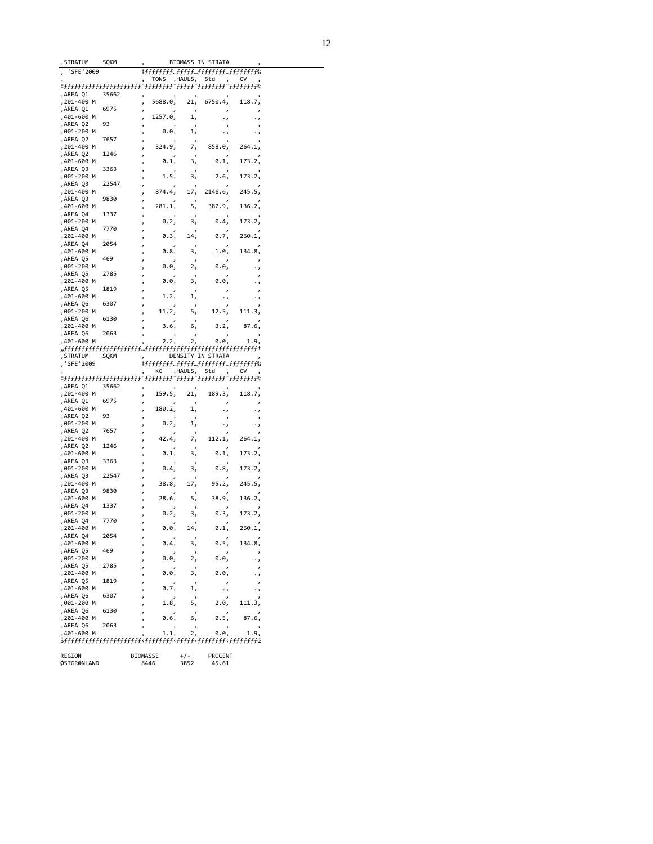| , STRATUM                | SOKM  |                |         | BIOMASS IN STRATA |                          |
|--------------------------|-------|----------------|---------|-------------------|--------------------------|
| 'SFE'2009                |       |                |         |                   |                          |
|                          |       | TONS           | ,HAULS, | Std               | cv                       |
|                          |       |                |         |                   |                          |
| ,AREA Q1                 | 35662 |                |         |                   |                          |
| ,201-400 M<br>AREA Q1,   | 6975  | 5688.0,        | 21,     | 6750.4,           | 118.7,                   |
| ,401-600 M               |       | د<br>1257.0,   | 1,      |                   | ر                        |
| AREA Q2,                 | 93    |                |         |                   | $\overline{ }$           |
| ,001-200 M               |       | 0.0,           | 1,      |                   | ٠,                       |
| ,AREA Q2                 | 7657  |                |         |                   |                          |
| ,201-400 M               |       | 324.9,         | 7,      | 858.0,            | 264.1,                   |
| ,AREA Q2                 | 1246  |                |         |                   |                          |
| ,401-600 M               |       | 0.1,           | 3,      | 0.1,              | 173.2,                   |
| ,AREA Q3                 | 3363  |                |         |                   |                          |
| ,001-200 M<br>,AREA Q3   | 22547 | 1.5,           | 3,      | 2.6,              | 173.2,                   |
| ,201-400 M               |       | 874.4.         | 17,     | 2146.6,           | 245.5.                   |
| ,AREA Q3                 | 9830  |                |         |                   |                          |
| ,401-600 M               |       | 281.1,         | 5,      | 382.9,            | 136.2,                   |
| AREA Q4,                 | 1337  |                |         |                   |                          |
| ,001-200 M               |       | 0.2,           | 3,      | 0.4,              | 173.2,                   |
| ,AREA Q4                 | 7770  |                |         |                   |                          |
| ,201-400 M               |       | 0.3,           | 14,     | 0.7,              | 260.1,                   |
| ,AREA Q4<br>,401-600 M   | 2054  | 0.8,           |         | 1.0,              | 134.8,                   |
| AREA Q5,                 | 469   |                | 3,      |                   |                          |
| ,001-200 M               |       | 0.0,           | 2,      | 0.0,              |                          |
| ,AREA Q5                 | 2785  |                |         |                   |                          |
| ,201-400 M               |       | 0.0,           | 3,      | 0.0,              |                          |
| AREA Q5,                 | 1819  |                |         |                   |                          |
| ,401-600 M               |       | 1.2,           | 1,      |                   | $\cdot$                  |
| ,AREA Q6                 | 6307  |                |         |                   |                          |
| ,001-200 M               |       | 11.2,          | 5,      | 12.5,             | 111.3,                   |
| ,AREA Q6                 | 6130  | 3.6,           |         |                   |                          |
| ,201-400 M<br>,AREA Q6   | 2063  |                | 6,      | 3.2,              | 87.6,                    |
| ,401-600 M               |       | 2.2,           | 2,      | 0.0,              | 1.9,                     |
|                          |       |                |         |                   |                          |
| STRATUM,                 | SQKM  |                |         | DENSITY IN STRATA |                          |
| 'SFE'2009                |       |                |         |                   |                          |
|                          |       | КG             | ,HAULS, | Std               | cv                       |
| tfffffffffffffffffffffff |       |                |         |                   |                          |
| AREA Q1,                 | 35662 | 159.5,         |         |                   |                          |
| ,201-400 M<br>,AREA Q1   | 6975  | ر              | 21,     | 189.3,            | 118.7,                   |
| ,401-600 M               |       | 180.2,         | 1,      |                   |                          |
| AREA Q2,                 | 93    |                |         |                   | د                        |
| ,001-200 M               |       | 0.2,           | 1,      |                   | $\overline{\phantom{a}}$ |
| AREA Q2,                 | 7657  |                |         |                   |                          |
| ,201-400 M               |       | 42.4,          | 7,      | 112.1,            | 264.1,                   |
| ,AREA Q2                 | 1246  |                |         |                   |                          |
| ,401-600 M               |       | 0.1,           | 3,      | 0.1,              | 173.2,                   |
| ,AREA Q3<br>,001-200 M   | 3363  | 0.4,           |         |                   |                          |
| ,AREA Q3                 | 22547 |                | 3,      | 0.8,              | 173.2,                   |
| ,201-400 M               |       | 38.8,          | 17,     | 95.2,             | 245.5,                   |
| ,AREA Q3                 | 9830  |                |         |                   |                          |
| ,401-600 M               |       | 28.6,          | 5,      | 38.9,             | 136.2,                   |
| AREA Q4,                 | 1337  |                |         |                   |                          |
| ,001-200 M               |       | 0.2,           | 3,      | 0.3,              | 173.2,                   |
| ,AREA Q4                 | 7770  |                |         |                   |                          |
| ,201-400 M               |       | 0.0,           | 14,     | 0.1,              | 260.1,                   |
| ,AKEA Q4<br>,401-600 M   | 2054  | ر<br>0.4,      | 3,      | 0.5,              | 134.8,                   |
| ,AREA Q5                 | 469   | ر              |         |                   |                          |
| ,001-200 M               |       | J<br>0.0,<br>J | 2,      | 0.0,              | ر<br>٠,                  |
| AREA Q5,                 | 2785  | ر              |         |                   | ر                        |
| ,201-400 M               |       | 0.0,<br>ر      | 3,      | 0.0,              | ٠,                       |
| ,AREA Q5                 | 1819  | J              |         |                   | ر                        |
| ,401-600 M               |       | 0.7,<br>ر      | 1,      | ٠,                | ٠,                       |
| ,AREA Q6                 | 6307  |                |         |                   | ر                        |
| ,001-200 M<br>,AREA Q6   | 6130  | 1.8,<br>J      | 5,      | 2.0,              | 111.3,                   |
| ,201-400 M               |       | ر<br>0.6,<br>ر | 6,      | 0.5,              | 87.6,                    |
|                          |       |                |         |                   |                          |
| ,AREA Q6                 | 2063  | J              |         |                   |                          |
| ,401-600 M               |       | 1.1,           | 2,      | 0.0,              | 1.9,                     |

| REGION      | <b>BIOMASSE</b> | $+/-$ | PROCENT |
|-------------|-----------------|-------|---------|
| ØSTGRØNLAND | 8446            | 3852  | 45.61   |
|             |                 |       |         |